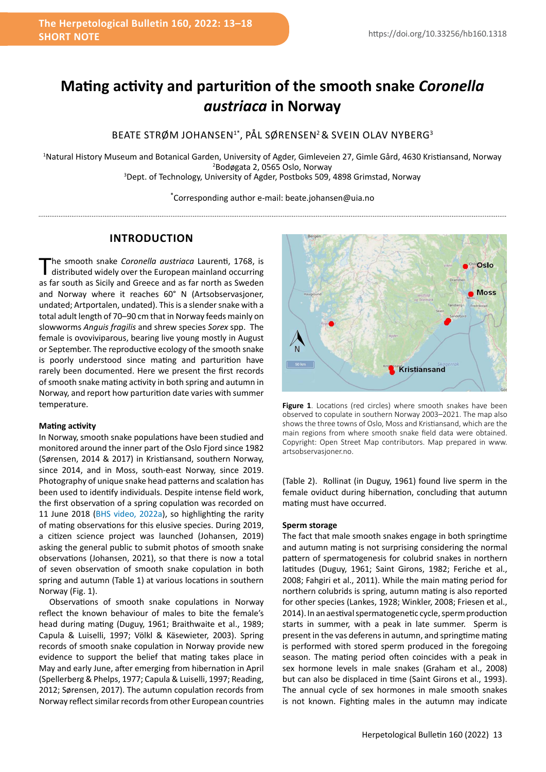# **Mating activity and parturition of the smooth snake** *Coronella austriaca* **in Norway**

BEATE STRØM JOHANSEN<sup>1\*</sup>, PÅL SØRENSEN<sup>2</sup> & SVEIN OLAV NYBERG<sup>3</sup>

1 Natural History Museum and Botanical Garden, University of Agder, Gimleveien 27, Gimle Gård, 4630 Kristiansand, Norway 2 Bodøgata 2, 0565 Oslo, Norway 3 Dept. of Technology, University of Agder, Postboks 509, 4898 Grimstad, Norway

\* Corresponding author e-mail: beate.johansen@uia.no

## **INTRODUCTION**

The smooth snake *Coronella austriaca* Laurenti, 1768, is distributed widely over the European mainland occurring as far south as Sicily and Greece and as far north as Sweden and Norway where it reaches 60° N (Artsobservasjoner, undated; Artportalen, undated). This is a slender snake with a total adult length of 70–90 cm that in Norway feeds mainly on slowworms *Anguis fragilis* and shrew species *Sorex* spp. The female is ovoviviparous, bearing live young mostly in August or September. The reproductive ecology of the smooth snake is poorly understood since mating and parturition have rarely been documented. Here we present the first records of smooth snake mating activity in both spring and autumn in Norway, and report how parturition date varies with summer temperature.

## **Mating activity**

In Norway, smooth snake populations have been studied and monitored around the inner part of the Oslo Fiord since 1982 (Sørensen, 2014 & 2017) in Kristiansand, southern Norway, since 2014, and in Moss, south-east Norway, since 2019. Photography of unique snake head patterns and scalation has been used to identify individuals. Despite intense field work, the first observation of a spring copulation was recorded on 11 June 2018 ([BHS video, 2022a](https://youtu.be/UFV1ue--ORQ)), so highlighting the rarity of mating observations for this elusive species. During 2019, a citizen science project was launched (Johansen, 2019) asking the general public to submit photos of smooth snake observations (Johansen, 2021), so that there is now a total of seven observation of smooth snake copulation in both spring and autumn (Table 1) at various locations in southern Norway (Fig. 1).

Observations of smooth snake copulations in Norway reflect the known behaviour of males to bite the female's head during mating (Duguy, 1961; Braithwaite et al., 1989; Capula & Luiselli, 1997; Völkl & Käsewieter, 2003). Spring records of smooth snake copulation in Norway provide new evidence to support the belief that mating takes place in May and early June, after emerging from hibernation in April (Spellerberg & Phelps, 1977; Capula & Luiselli, 1997; Reading, 2012; Sørensen, 2017). The autumn copulation records from Norway reflect similar records from other European countries



Figure 1. Locations (red circles) where smooth snakes have been observed to copulate in southern Norway 2003–2021. The map also shows the three towns of Oslo, Moss and Kristiansand, which are the main regions from where smooth snake field data were obtained. Copyright: Open Street Map contributors. Map prepared in www. artsobservasjoner.no.

(Table 2). Rollinat (in Duguy, 1961) found live sperm in the female oviduct during hibernation, concluding that autumn mating must have occurred.

## **Sperm storage**

The fact that male smooth snakes engage in both springtime and autumn mating is not surprising considering the normal pattern of spermatogenesis for colubrid snakes in northern latitudes (Duguy, 1961; Saint Girons, 1982; Feriche et al., 2008; Fahgiri et al., 2011). While the main mating period for northern colubrids is spring, autumn mating is also reported for other species (Lankes, 1928; Winkler, 2008; Friesen et al., 2014). In an aestival spermatogenetic cycle, sperm production starts in summer, with a peak in late summer. Sperm is present in the vas deferens in autumn, and springtime mating is performed with stored sperm produced in the foregoing season. The mating period often coincides with a peak in sex hormone levels in male snakes (Graham et al., 2008) but can also be displaced in time (Saint Girons et al., 1993). The annual cycle of sex hormones in male smooth snakes is not known. Fighting males in the autumn may indicate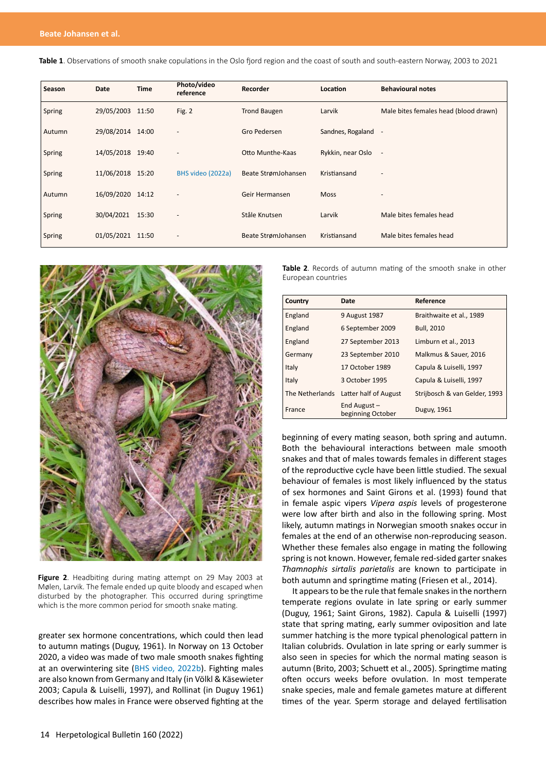**Table 1**. Observations of smooth snake copulations in the Oslo fjord region and the coast of south and south-eastern Norway, 2003 to 2021

| Season | Date             | <b>Time</b> | Photo/video<br>reference | Recorder            | Location            | <b>Behavioural notes</b>              |
|--------|------------------|-------------|--------------------------|---------------------|---------------------|---------------------------------------|
| Spring | 29/05/2003 11:50 |             | Fig. 2                   | <b>Trond Baugen</b> | Larvik              | Male bites females head (blood drawn) |
| Autumn | 29/08/2014 14:00 |             |                          | Gro Pedersen        | Sandnes, Rogaland - |                                       |
| Spring | 14/05/2018 19:40 |             |                          | Otto Munthe-Kaas    | Rykkin, near Oslo   |                                       |
| Spring | 11/06/2018 15:20 |             | BHS video (2022a)        | Beate StrømJohansen | Kristiansand        |                                       |
| Autumn | 16/09/2020 14:12 |             |                          | Geir Hermansen      | <b>Moss</b>         |                                       |
| Spring | 30/04/2021       | 15:30       |                          | Ståle Knutsen       | Larvik              | Male bites females head               |
| Spring | 01/05/2021 11:50 |             |                          | Beate StrømJohansen | Kristiansand        | Male bites females head               |



Figure 2. Headbiting during mating attempt on 29 May 2003 at Mølen, Larvik. The female ended up quite bloody and escaped when disturbed by the photographer. This occurred during springtime which is the more common period for smooth snake mating.

greater sex hormone concentrations, which could then lead to autumn matings (Duguy, 1961). In Norway on 13 October 2020, a video was made of two male smooth snakes fighting at an overwintering site ([BHS video, 2022b](https://youtu.be/e3MSwSYbhik)). Fighting males are also known from Germany and Italy (in Völkl & Käsewieter 2003; Capula & Luiselli, 1997), and Rollinat (in Duguy 1961) describes how males in France were observed fighting at the **Table 2**. Records of autumn mating of the smooth snake in other European countries

| Country         | Date                                | Reference                     |
|-----------------|-------------------------------------|-------------------------------|
| England         | 9 August 1987                       | Braithwaite et al., 1989      |
| England         | 6 September 2009                    | <b>Bull, 2010</b>             |
| England         | 27 September 2013                   | Limburn et al., 2013          |
| Germany         | 23 September 2010                   | Malkmus & Sauer, 2016         |
| Italy           | 17 October 1989                     | Capula & Luiselli, 1997       |
| Italy           | 3 October 1995                      | Capula & Luiselli, 1997       |
| The Netherlands | Latter half of August               | Strijbosch & van Gelder, 1993 |
| France          | End August $-$<br>beginning October | Duguy, 1961                   |

beginning of every mating season, both spring and autumn. Both the behavioural interactions between male smooth snakes and that of males towards females in different stages of the reproductive cycle have been little studied. The sexual behaviour of females is most likely influenced by the status of sex hormones and Saint Girons et al. (1993) found that in female aspic vipers *Vipera aspis* levels of progesterone were low after birth and also in the following spring. Most likely, autumn matings in Norwegian smooth snakes occur in females at the end of an otherwise non-reproducing season. Whether these females also engage in mating the following spring is not known. However, female red-sided garter snakes *Thamnophis sirtalis parietalis* are known to participate in both autumn and springtime mating (Friesen et al., 2014).

It appears to be the rule that female snakes in the northern temperate regions ovulate in late spring or early summer (Duguy, 1961; Saint Girons, 1982). Capula & Luiselli (1997) state that spring mating, early summer oviposition and late summer hatching is the more typical phenological pattern in Italian colubrids. Ovulation in late spring or early summer is also seen in species for which the normal mating season is autumn (Brito, 2003; Schuett et al., 2005). Springtime mating often occurs weeks before ovulation. In most temperate snake species, male and female gametes mature at different times of the year. Sperm storage and delayed fertilisation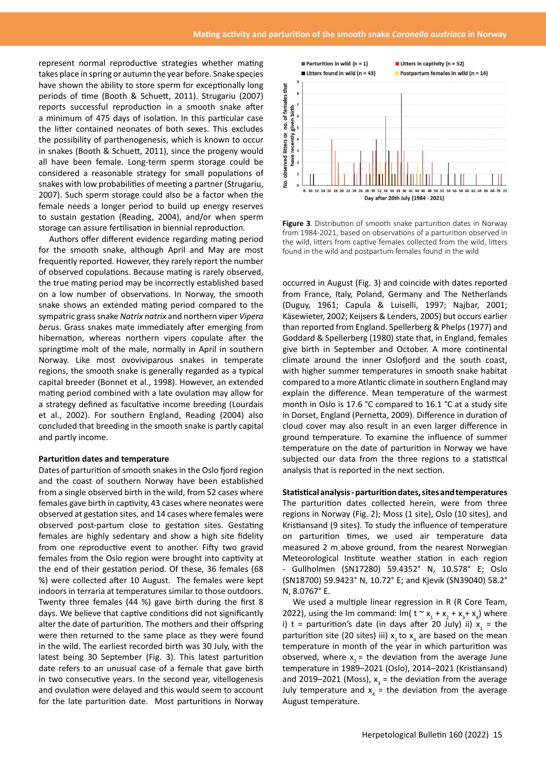represent normal reproductive strategies whether mating takes place in spring or autumn the year before. Snake species have shown the ability to store sperm for exceptionally long periods of time (Booth & Schuett, 2011). Strugariu (2007) reports successful reproduction in a smooth snake after a minimum of 475 days of isolation. In this particular case the litter contained neonates of both sexes. This excludes the possibility of parthenogenesis, which is known to occur in snakes (Booth & Schuett, 2011), since the progeny would all have been female. Long-term sperm storage could be considered a reasonable strategy for small populations of snakes with low probabilities of meeting a partner (Strugariu, 2007). Such sperm storage could also be a factor when the female needs a longer period to build up energy reserves to sustain gestation (Reading, 2004), and/or when sperm storage can assure fertilisation in biennial reproduction.

Authors offer different evidence regarding mating period for the smooth snake, although April and May are most frequently reported. However, they rarely report the number of observed copulations. Because mating is rarely observed, the true mating period may be incorrectly established based on a low number of observations. In Norway, the smooth snake shows an extended mating period compared to the sympatric grass snake *Natrix natrix* and northern viper *Vipera berus*. Grass snakes mate immediately after emerging from hibernation, whereas northern vipers copulate after the springtime molt of the male, normally in April in southern Norway. Like most ovoviviparous snakes in temperate regions, the smooth snake is generally regarded as a typical capital breeder (Bonnet et al., 1998). However, an extended mating period combined with a late ovulation may allow for a strategy defined as facultative income breeding (Lourdais et al., 2002). For southern England, Reading (2004) also concluded that breeding in the smooth snake is partly capital and partly income.

#### **Parturition dates and temperature**

Dates of parturition of smooth snakes in the Oslo fjord region and the coast of southern Norway have been established from a single observed birth in the wild, from 52 cases where females gave birth in captivity, 43 cases where neonates were observed at gestation sites, and 14 cases where females were observed post-partum close to gestation sites. Gestating females are highly sedentary and show a high site fidelity from one reproductive event to another. Fifty two gravid females from the Oslo region were brought into captivity at the end of their gestation period. Of these, 36 females (68 %) were collected after 10 August. The females were kept indoors in terraria at temperatures similar to those outdoors. Twenty three females (44 %) gave birth during the first 8 days. We believe that captive conditions did not significantly alter the date of parturition. The mothers and their offspring were then returned to the same place as they were found in the wild. The earliest recorded birth was 30 July, with the latest being 30 September (Fig. 3). This latest parturition date refers to an unusual case of a female that gave birth in two consecutive years. In the second year, vitellogenesis and ovulation were delayed and this would seem to account for the late parturition date. Most parturitions in Norway



**Figure 3**. Distribution of smooth snake parturition dates in Norway from 1984-2021, based on observations of a parturition observed in the wild, litters from captive females collected from the wild, litters found in the wild and postpartum females found in the wild

occurred in August (Fig. 3) and coincide with dates reported from France, Italy, Poland, Germany and The Netherlands (Duguy, 1961; Capula & Luiselli, 1997; Najbar, 2001; Käsewieter, 2002; Keijsers & Lenders, 2005) but occurs earlier than reported from England. Spellerberg & Phelps (1977) and Goddard & Spellerberg (1980) state that, in England, females give birth in September and October. A more continental climate around the inner Oslofjord and the south coast, with higher summer temperatures in smooth snake habitat compared to a more Atlantic climate in southern England may explain the difference. Mean temperature of the warmest month in Oslo is 17.6 °C compared to 16.1 °C at a study site in Dorset, England (Pernetta, 2009). Difference in duration of cloud cover may also result in an even larger difference in ground temperature. To examine the influence of summer temperature on the date of parturition in Norway we have subjected our data from the three regions to a statistical analysis that is reported in the next section.

## **Statistical analysis - parturition dates, sites and temperatures**

The parturition dates collected herein, were from three regions in Norway (Fig. 2); Moss (1 site), Oslo (10 sites), and Kristiansand (9 sites). To study the influence of temperature on parturition times, we used air temperature data measured 2 m above ground, from the nearest Norwegian Meteorological Institute weather station in each region - Gullholmen (SN17280) 59.4352° N, 10.578° E; Oslo (SN18700) 59.9423° N, 10.72° E; and Kjevik (SN39040) 58.2° N, 8.0767° E.

We used a multiple linear regression in R (R Core Team, 2022), using the Im command:  $Im(t \sim x_1 + x_2 + x_3 + x_4)$  where i) t = parturition's date (in days after 20 July) ii)  $x_1 =$  the parturition site (20 sites) iii)  $x_2$  to  $x_4$  are based on the mean temperature in month of the year in which parturition was observed, where  $x_0$  = the deviation from the average June temperature in 1989–2021 (Oslo), 2014–2021 (Kristiansand) and 2019–2021 (Moss),  $x_3$  = the deviation from the average July temperature and  $x_4$  = the deviation from the average August temperature.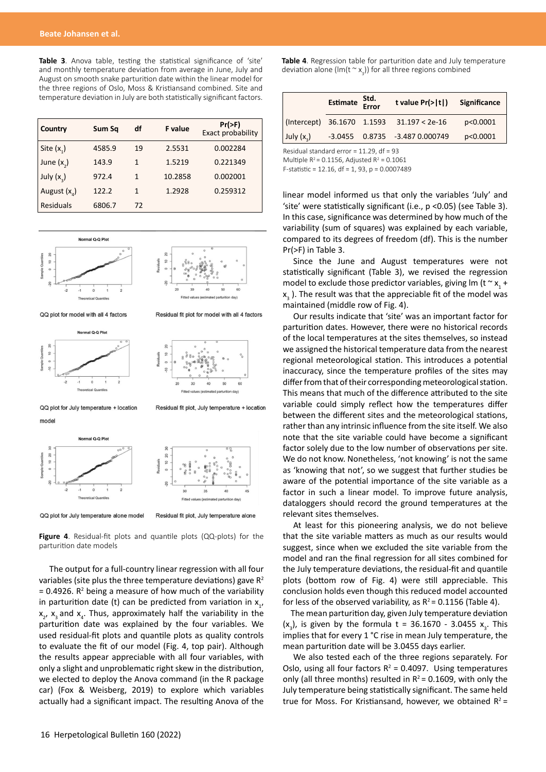**Table 3**. Anova table, testing the statistical significance of 'site' and monthly temperature deviation from average in June, July and August on smooth snake parturition date within the linear model for the three regions of Oslo, Moss & Kristiansand combined. Site and temperature deviation in July are both statistically significant factors.

| Country        | Sum Sa | df           | <b>F</b> value | $Pr(>\)$<br>Exact probability |
|----------------|--------|--------------|----------------|-------------------------------|
| Site $(x_1)$   | 4585.9 | 19           | 2.5531         | 0.002284                      |
| June $(x_2)$   | 143.9  | 1            | 1.5219         | 0.221349                      |
| July $(x_3)$   | 972.4  | $\mathbf{1}$ | 10.2858        | 0.002001                      |
| August $(x_4)$ | 122.2  | 1            | 1.2928         | 0.259312                      |
| Residuals      | 6806.7 | 72           |                |                               |



QQ plot for model with all 4 factors

Residual fit plot for model with all 4 factors





QQ plot for July temperature + location model

Residual fit plot, July temperature + location



QQ plot for July temperature alone model

Residual fit plot, July temperature alone

**Figure 4**. Residual-fit plots and quantile plots (QQ-plots) for the parturition date models

The output for a full-country linear regression with all four variables (site plus the three temperature deviations) gave  $R^2$  $= 0.4926$ . R<sup>2</sup> being a measure of how much of the variability in parturition date (t) can be predicted from variation in  $x_{1}$ ,  $x_2$ ,  $x_3$  and  $x_4$ . Thus, approximately half the variability in the parturition date was explained by the four variables. We used residual-fit plots and quantile plots as quality controls to evaluate the fit of our model (Fig. 4, top pair). Although the results appear appreciable with all four variables, with only a slight and unproblematic right skew in the distribution, we elected to deploy the Anova command (in the R package car) (Fox & Weisberg, 2019) to explore which variables actually had a significant impact. The resulting Anova of the

**Table 4**. Regression table for parturition date and July temperature deviation alone (lm(t  $\sim$  x<sub>3</sub>)) for all three regions combined

|                            | Estimate Std.<br>Error | t value $Pr(>\vert t \vert)$           | Significance |
|----------------------------|------------------------|----------------------------------------|--------------|
| (Intercept) 36.1670 1.1593 |                        | $31.197 < 2e-16$                       | p<0.0001     |
| July $(x_3)$               |                        | $-3.0455$ $0.8735$ $-3.487$ $0.000749$ | p<0.0001     |

Residual standard error = 11.29, df = 93

Multiple  $R^2$  = 0.1156, Adjusted  $R^2$  = 0.1061

F-statistic = 12.16, df = 1, 93, p = 0.0007489

linear model informed us that only the variables 'July' and 'site' were statistically significant (i.e., p <0.05) (see Table 3). In this case, significance was determined by how much of the variability (sum of squares) was explained by each variable, compared to its degrees of freedom (df). This is the number Pr(>F) in Table 3.

Since the June and August temperatures were not statistically significant (Table 3), we revised the regression model to exclude those predictor variables, giving lm (t  $\sim$   $x_{1}$  +  $x_{3}$ ). The result was that the appreciable fit of the model was maintained (middle row of Fig. 4).

Our results indicate that 'site' was an important factor for parturition dates. However, there were no historical records of the local temperatures at the sites themselves, so instead we assigned the historical temperature data from the nearest regional meteorological station. This introduces a potential inaccuracy, since the temperature profiles of the sites may differ from that of their corresponding meteorological station. This means that much of the difference attributed to the site variable could simply reflect how the temperatures differ between the different sites and the meteorological stations, rather than any intrinsic influence from the site itself. We also note that the site variable could have become a significant factor solely due to the low number of observations per site. We do not know. Nonetheless, 'not knowing' is not the same as 'knowing that not', so we suggest that further studies be aware of the potential importance of the site variable as a factor in such a linear model. To improve future analysis, dataloggers should record the ground temperatures at the relevant sites themselves.

At least for this pioneering analysis, we do not believe that the site variable matters as much as our results would suggest, since when we excluded the site variable from the model and ran the final regression for all sites combined for the July temperature deviations, the residual-fit and quantile plots (bottom row of Fig. 4) were still appreciable. This conclusion holds even though this reduced model accounted for less of the observed variability, as  $R^2 = 0.1156$  (Table 4).

The mean parturition day, given July temperature deviation  $(x_3)$ , is given by the formula t = 36.1670 - 3.0455  $x_3$ . This implies that for every 1 °C rise in mean July temperature, the mean parturition date will be 3.0455 days earlier.

We also tested each of the three regions separately. For Oslo, using all four factors  $R^2 = 0.4097$ . Using temperatures only (all three months) resulted in  $R^2$  = 0.1609, with only the July temperature being statistically significant. The same held true for Moss. For Kristiansand, however, we obtained  $R^2 =$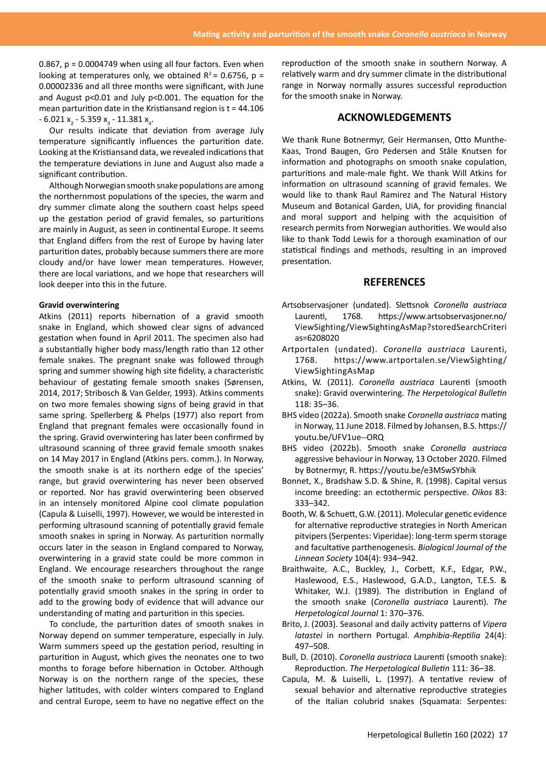0.867, p = 0.0004749 when using all four factors. Even when looking at temperatures only, we obtained  $R^2$  = 0.6756, p = 0.00002336 and all three months were significant, with June and August p<0.01 and July p<0.001. The equation for the mean parturition date in the Kristiansand region is  $t = 44.106$ - 6.021 x<sub>2</sub> - 5.359 x<sub>3</sub> - 11.381 x<sub>4</sub>.

Our results indicate that deviation from average July temperature significantly influences the parturition date. Looking at the Kristiansand data, we revealed indications that the temperature deviations in June and August also made a significant contribution.

Although Norwegian smooth snake populations are among the northernmost populations of the species, the warm and dry summer climate along the southern coast helps speed up the gestation period of gravid females, so parturitions are mainly in August, as seen in continental Europe. It seems that England differs from the rest of Europe by having later parturition dates, probably because summers there are more cloudy and/or have lower mean temperatures. However, there are local variations, and we hope that researchers will look deeper into this in the future.

### **Gravid overwintering**

Atkins (2011) reports hibernation of a gravid smooth snake in England, which showed clear signs of advanced gestation when found in April 2011. The specimen also had a substantially higher body mass/length ratio than 12 other female snakes. The pregnant snake was followed through spring and summer showing high site fidelity, a characteristic behaviour of gestating female smooth snakes (Sørensen, 2014, 2017; Stribosch & Van Gelder, 1993). Atkins comments on two more females showing signs of being gravid in that same spring. Spellerberg & Phelps (1977) also report from England that pregnant females were occasionally found in the spring. Gravid overwintering has later been confirmed by ultrasound scanning of three gravid female smooth snakes on 14 May 2017 in England (Atkins pers. comm.). In Norway, the smooth snake is at its northern edge of the species' range, but gravid overwintering has never been observed or reported. Nor has gravid overwintering been observed in an intensely monitored Alpine cool climate population (Capula & Luiselli, 1997). However, we would be interested in performing ultrasound scanning of potentially gravid female smooth snakes in spring in Norway. As parturition normally occurs later in the season in England compared to Norway, overwintering in a gravid state could be more common in England. We encourage researchers throughout the range of the smooth snake to perform ultrasound scanning of potentially gravid smooth snakes in the spring in order to add to the growing body of evidence that will advance our understanding of mating and parturition in this species.

To conclude, the parturition dates of smooth snakes in Norway depend on summer temperature, especially in July. Warm summers speed up the gestation period, resulting in parturition in August, which gives the neonates one to two months to forage before hibernation in October. Although Norway is on the northern range of the species, these higher latitudes, with colder winters compared to England and central Europe, seem to have no negative effect on the

reproduction of the smooth snake in southern Norway. A relatively warm and dry summer climate in the distributional range in Norway normally assures successful reproduction for the smooth snake in Norway.

## **ACKNOWLEDGEMENTS**

We thank Rune Botnermyr, Geir Hermansen, Otto Munthe-Kaas, Trond Baugen, Gro Pedersen and Ståle Knutsen for information and photographs on smooth snake copulation, parturitions and male-male fight. We thank Will Atkins for information on ultrasound scanning of gravid females. We would like to thank Raul Ramirez and The Natural History Museum and Botanical Garden, UiA, for providing financial and moral support and helping with the acquisition of research permits from Norwegian authorities. We would also like to thank Todd Lewis for a thorough examination of our statistical findings and methods, resulting in an improved presentation.

## **REFERENCES**

- Artsobservasjoner (undated). Slettsnok *Coronella austriaca*  Laurenti, 1768. [https://www.artsobservasjoner.no/](https://www.artsobservasjoner.no/ViewSighting/ViewSightingAsMap?storedSearchCriterias=6208020 ) [ViewSighting/ViewSightingAsMap?storedSearchCriteri](https://www.artsobservasjoner.no/ViewSighting/ViewSightingAsMap?storedSearchCriterias=6208020 ) [as=6208020](https://www.artsobservasjoner.no/ViewSighting/ViewSightingAsMap?storedSearchCriterias=6208020 )
- Artportalen (undated). *Coronella austriaca* Laurenti, 1768. [https://www.artportalen.se/ViewSighting/](https://www.artportalen.se/ViewSighting/ViewSightingAsMap) [ViewSightingAsMap](https://www.artportalen.se/ViewSighting/ViewSightingAsMap)
- Atkins, W. (2011). *Coronella austriaca* Laurenti (smooth snake): Gravid overwintering. *The Herpetological Bulletin*  118: 35–36.
- BHS video (2022a). Smooth snake *Coronella austriaca* mating in Norway, 11 June 2018. Filmed by Johansen, B.S. https:// youtu.be/UFV1ue--ORQ
- BHS video (2022b). Smooth snake *Coronella austriaca*  aggressive behaviour in Norway, 13 October 2020. Filmed by Botnermyr, R. https://youtu.be/e3MSwSYbhik
- Bonnet, X., Bradshaw S.D. & Shine, R. (1998). Capital versus income breeding: an ectothermic perspective. *Oikos* 83: 333–342.
- Booth, W. & Schuett, G.W. (2011). Molecular genetic evidence for alternative reproductive strategies in North American pitvipers (Serpentes: Viperidae): long-term sperm storage and facultative parthenogenesis. *Biological Journal of the Linnean Society* 104(4): 934–942.
- Braithwaite, A.C., Buckley, J., Corbett, K.F., Edgar, P.W., Haslewood, E.S., Haslewood, G.A.D., Langton, T.E.S. & Whitaker, W.J. (1989). The distribution in England of the smooth snake (*Coronella austriaca* Laurenti). *The Herpetological Journal* 1: 370–376.
- Brito, J. (2003). Seasonal and daily activity patterns of *Vipera latastei* in northern Portugal. *Amphibia-Reptilia* 24(4): 497–508.
- Bull, D. (2010). *Coronella austriaca* Laurenti (smooth snake): Reproduction. *The Herpetological Bulletin* 111: 36–38.
- Capula, M. & Luiselli, L. (1997). A tentative review of sexual behavior and alternative reproductive strategies of the Italian colubrid snakes (Squamata: Serpentes: